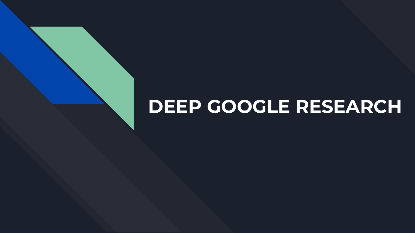# **DEEP GOOGLE RESEARCH**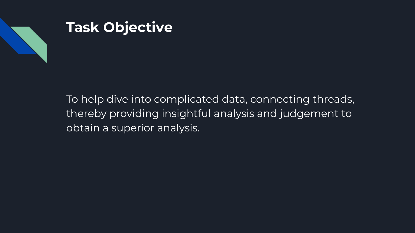

## **Task Objective**

To help dive into complicated data, connecting threads, thereby providing insightful analysis and judgement to obtain a superior analysis.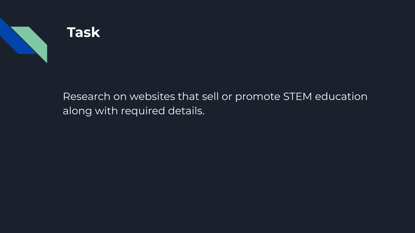

## **Task**

Research on websites that sell or promote STEM education along with required details.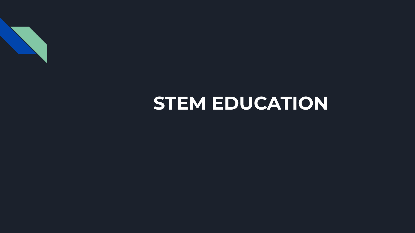

## **STEM EDUCATION**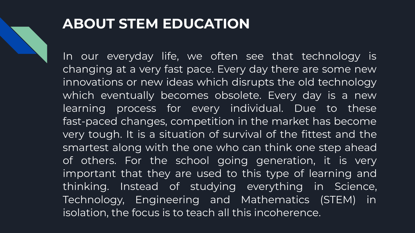

## **ABOUT STEM EDUCATION**

In our everyday life, we often see that technology is changing at a very fast pace. Every day there are some new innovations or new ideas which disrupts the old technology which eventually becomes obsolete. Every day is a new learning process for every individual. Due to these fast-paced changes, competition in the market has become very tough. It is a situation of survival of the fittest and the smartest along with the one who can think one step ahead of others. For the school going generation, it is very important that they are used to this type of learning and thinking. Instead of studying everything in Science, Technology, Engineering and Mathematics (STEM) in isolation, the focus is to teach all this incoherence.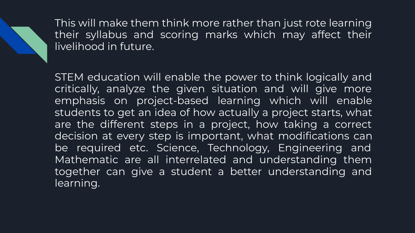This will make them think more rather than just rote learning their syllabus and scoring marks which may affect their livelihood in future.

STEM education will enable the power to think logically and critically, analyze the given situation and will give more emphasis on project-based learning which will enable students to get an idea of how actually a project starts, what are the different steps in a project, how taking a correct decision at every step is important, what modifications can be required etc. Science, Technology, Engineering and Mathematic are all interrelated and understanding them together can give a student a better understanding and learning.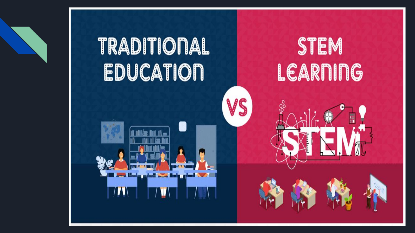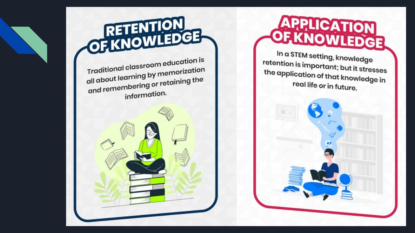

In a STEM setting, knowledge retention is important; but it stresses the application of that knowledge in real life or in future.

# OF KNOWLEDGE

Traditional classroom education is all about learning by memorization and remembering or retaining the information.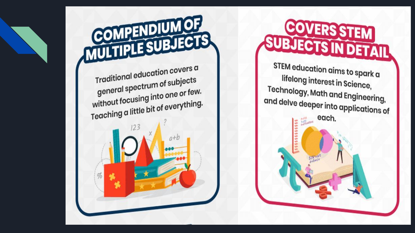

COVERS STEM **SUBJECTS IN DETAIL** 

STEM education aims to spark a lifelong interest in Science, Technology, Math and Engineering, and delve deeper into applications of  $\begin{picture}(180,10) \put(0,0){\line(1,0){10}} \put(10,0){\line(1,0){10}} \put(10,0){\line(1,0){10}} \put(10,0){\line(1,0){10}} \put(10,0){\line(1,0){10}} \put(10,0){\line(1,0){10}} \put(10,0){\line(1,0){10}} \put(10,0){\line(1,0){10}} \put(10,0){\line(1,0){10}} \put(10,0){\line(1,0){10}} \put(10,0){\line(1,0){10}} \put(10,0){\line($ each.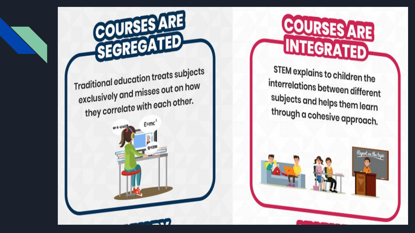

W=k-q1q2/R



STEM explains to children the interrelations between different subjects and helps them learn through a cohesive approach.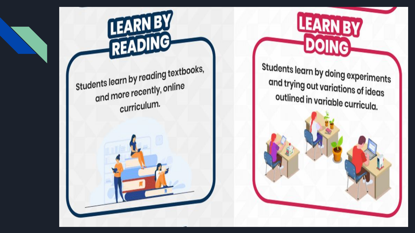

**LEARN BY** 

DOING

Students learn by reading textbooks, and more recently, online curriculum.

LEARNBY

READING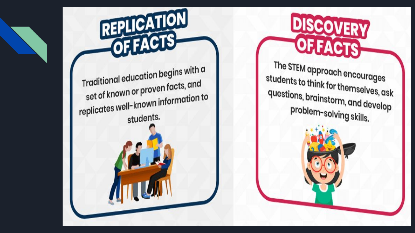



The STEM approach encourages students to think for themselves, ask questions, brainstorm, and develop problem-solving skills.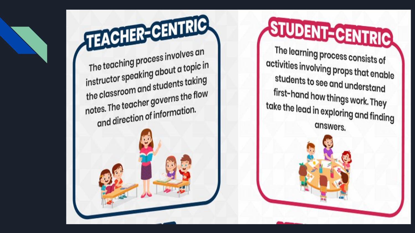STUDENT-CENTRIC The learning process consists of activities involving props that enable students to see and understand first-hand how things work. They take the lead in exploring and finding answers.

TEACHER-CENTRIC

The teaching process involves an instructor speaking about a topic in the classroom and students taking notes. The teacher governs the flow and direction of information.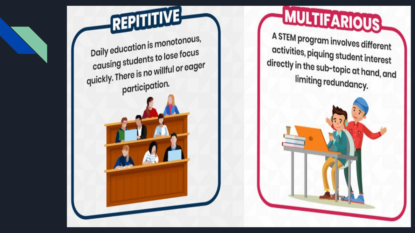

MULTIFARIOUS A STEM program involves different activities, piquing student interest directly in the sub-topic at hand, and limiting redundancy.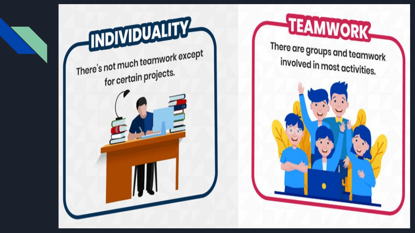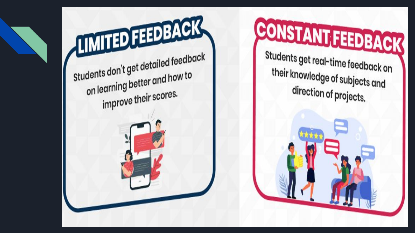

CONSTANT FEEDBACK Students get real-time feedback on their knowledge of subjects and direction of projects.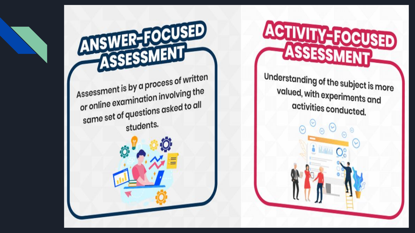

**ACTIVITY-FOCUSED** 

**ANSWER-FOCUSED** ASSESSMENT Assessment is by a process of written or online examination involving the same set of questions asked to all students.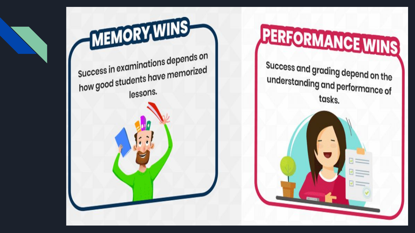

Success and grading depend on the understanding and performance of tasks.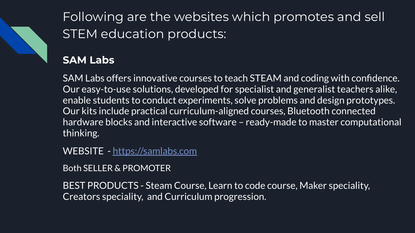

Following are the websites which promotes and sell STEM education products:

## **SAM Labs**

SAM Labs offers innovative courses to teach STEAM and coding with confidence. Our easy-to-use solutions, developed for specialist and generalist teachers alike, enable students to conduct experiments, solve problems and design prototypes. Our kits include practical curriculum-aligned courses, Bluetooth connected hardware blocks and interactive software – ready-made to master computational thinking.

WEBSITE - <https://samlabs.com>

Both SELLER & PROMOTER

BEST PRODUCTS - Steam Course, Learn to code course, Maker speciality, Creators speciality, and Curriculum progression.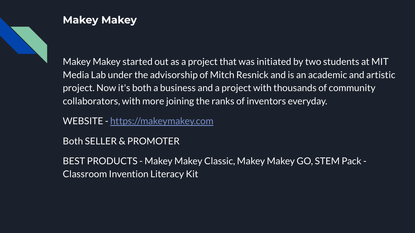

#### **Makey Makey**

Makey Makey started out as a project that was initiated by two students at MIT Media Lab under the advisorship of Mitch Resnick and is an academic and artistic project. Now it's both a business and a project with thousands of community collaborators, with more joining the ranks of inventors everyday.

WEBSITE -<https://makeymakey.com>

Both SELLER & PROMOTER

BEST PRODUCTS - Makey Makey Classic, Makey Makey GO, STEM Pack - Classroom Invention Literacy Kit